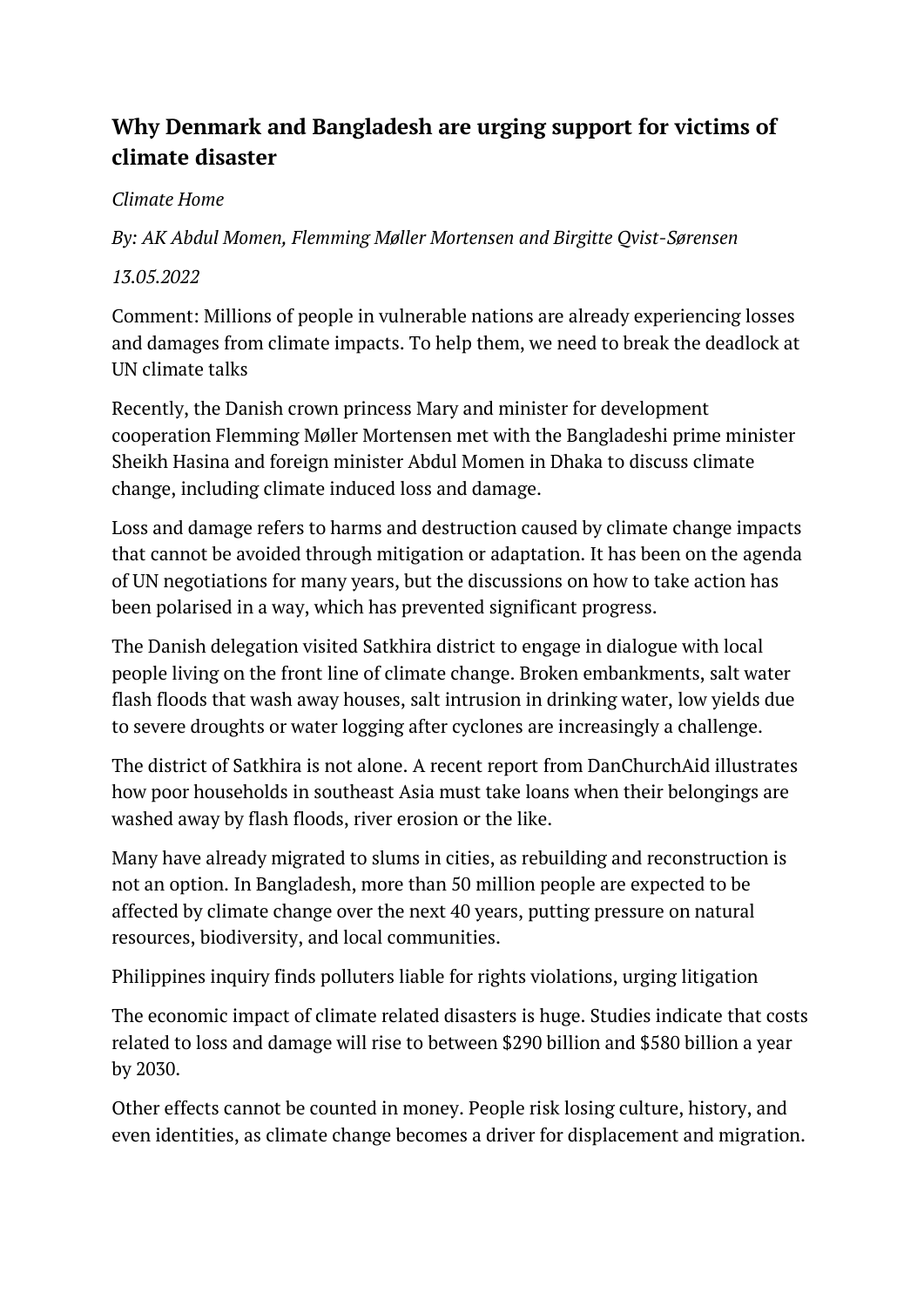## **Why Denmark and Bangladesh are urging support for victims of climate disaster**

## *Climate Home*

*By: [AK Abdul Momen,](https://www.climatechangenews.com/author/ak-abdul-momen/) [Flemming Møller Mortensen](https://www.climatechangenews.com/author/flemming-moller-mortensen/) and [Birgitte Qvist-Sørensen](https://www.climatechangenews.com/author/birgitte-qvist-sorensen/)*

## *13.05.2022*

[Comment:](https://www.climatechangenews.com/comment/) Millions of people in vulnerable nations are already experiencing losses and damages from climate impacts. To help them, we need to break the deadlock at UN climate talks

Recently, the Danish crown princess Mary and minister for development cooperation Flemming Møller Mortensen met with the Bangladeshi prime minister Sheikh Hasina and foreign minister Abdul Momen in Dhaka to discuss climate change, including climate induced loss and damage.

Loss and damage refers to harms and destruction caused by climate change impacts that cannot be avoided through mitigation or adaptation. It has been on the agenda of UN negotiations for many years, but the discussions on how to take action has been polarised in a way, which has prevented significant progress.

The Danish delegation visited Satkhira district to engage in dialogue with local people living on the front line of climate change. Broken embankments, salt water flash floods that wash away houses, salt intrusion in drinking water, low yields due to severe droughts or water logging after cyclones are increasingly a challenge.

The district of Satkhira is not alone. A [recent report](https://actalliance.org/wp-content/uploads/2021/11/LD_Final_DCANepal-RS.pdf) from DanChurchAid illustrates how poor households in southeast Asia must take loans when their belongings are washed away by flash floods, river erosion or the like.

Many have already migrated to slums in cities, as rebuilding and reconstruction is not an option. In Bangladesh, more than 50 million people are expected to be affected by climate change over the next 40 years, putting pressure on natural resources, biodiversity, and local communities.

Philippines [inquiry finds polluters liable for rights violations, urging litigation](https://www.climatechangenews.com/2022/05/10/philippines-inquiry-finds-polluters-liable-for-rights-violations-urging-litigation/)

The economic impact of climate related disasters is huge. Studies indicate that costs related to loss and damage will rise to [between \\$290 billion and \\$580 billion a year](https://link.springer.com/book/10.1007/978-3-319-72026-5)  [by 2030.](https://link.springer.com/book/10.1007/978-3-319-72026-5)

Other effects cannot be counted in money. People risk losing culture, history, and even identities, as climate change becomes a driver for displacement and migration.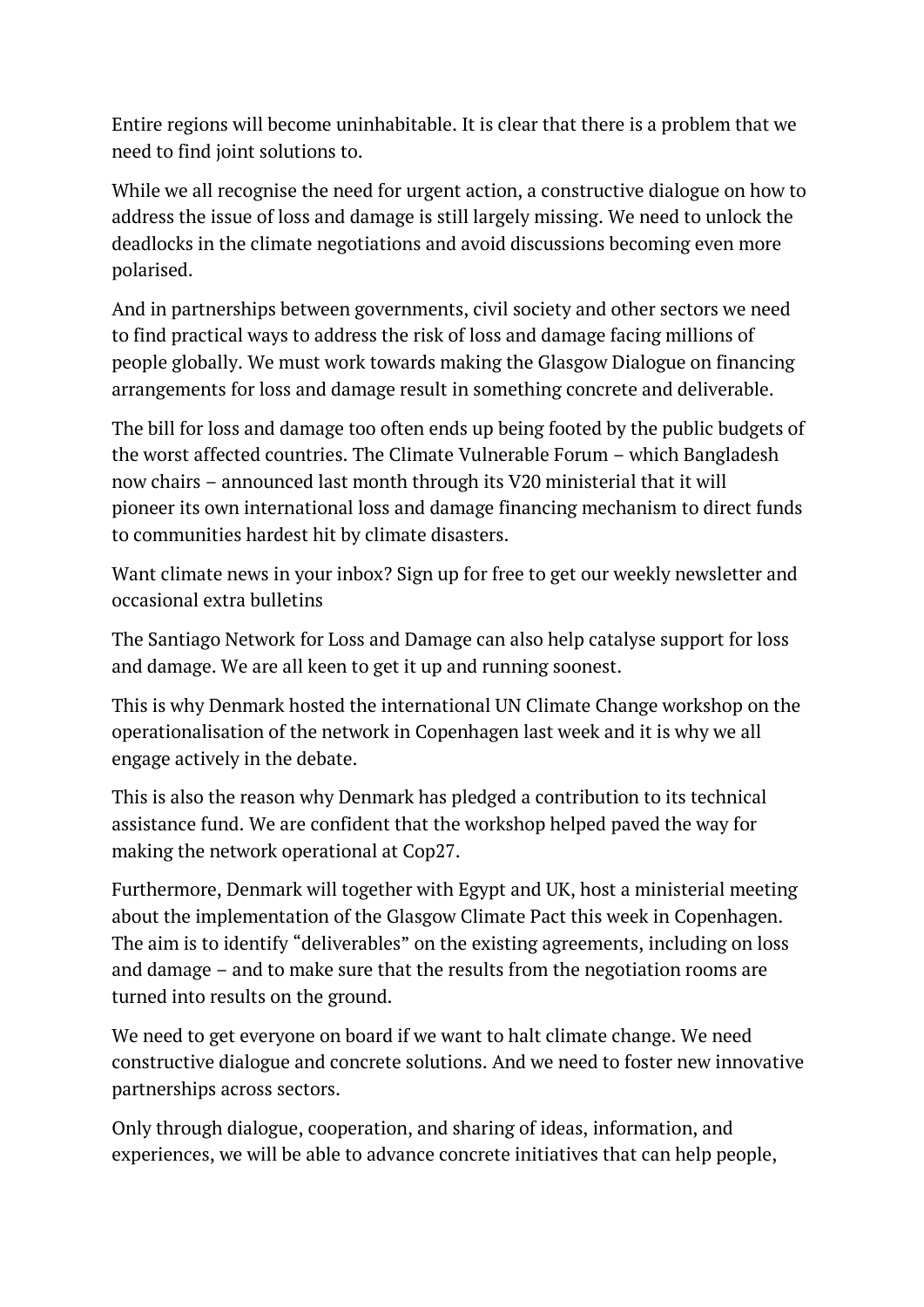Entire regions will become uninhabitable. It is clear that there is a problem that we need to find joint solutions to.

While we all recognise the need for urgent action, a constructive dialogue on how to address the issue of loss and damage is still largely missing. We need to unlock the deadlocks in the climate negotiations and avoid discussions becoming even more polarised.

And in partnerships between governments, civil society and other sectors we need to find practical ways to address the risk of loss and damage facing millions of people globally. We must work towards making the Glasgow Dialogue on financing arrangements for loss and damage result in something concrete and deliverable.

The bill for loss and damage too often ends up being footed by the public budgets of the worst affected countries. The Climate Vulnerable Forum – which Bangladesh now chairs – announced last month through its V20 ministerial that it will pioneer [its own international loss and damage financing mechanism](https://www.climatechangenews.com/2022/04/25/vulnerable-nations-set-to-design-and-test-loss-and-damage-funding-facility/) to direct funds to communities hardest hit by climate disasters.

Want climate news in your inbox? Sign up for free to get our weekly newsletter and occasional extra bulletins

The Santiago Network for Loss and Damage can also help catalyse support for loss and damage. We are all keen to get it up and running soonest.

This is why Denmark hosted the international UN Climate Change workshop on the operationalisation of the network in Copenhagen last week and it is why we all engage actively in the debate.

This is also the reason why Denmark has pledged a contribution to its technical assistance fund. We are confident that the workshop helped paved the way for making the network operational at Cop27.

Furthermore, Denmark will together with Egypt and UK, host a ministerial meeting about the implementation of the Glasgow Climate Pact this week in Copenhagen. The aim is to identify "deliverables" on the existing agreements, including on loss and damage – and to make sure that the results from the negotiation rooms are turned into results on the ground.

We need to get everyone on board if we want to halt climate change. We need constructive dialogue and concrete solutions. And we need to foster new innovative partnerships across sectors.

Only through dialogue, cooperation, and sharing of ideas, information, and experiences, we will be able to advance concrete initiatives that can help people,